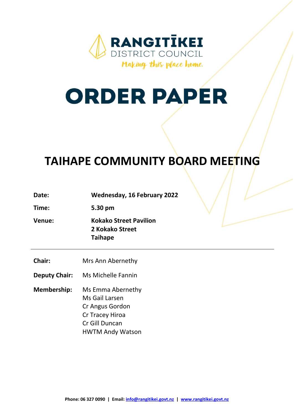

# **ORDER PAPER**

# **TAIHAPE COMMUNITY BOARD MEETING**

| Date: | <b>Wednesday, 16 February 2022</b> |
|-------|------------------------------------|
|-------|------------------------------------|

**Time: 5.30 pm**

**Venue: Kokako Street Pavilion 2 Kokako Street Taihape**

**Chair:** Mrs Ann Abernethy

**Deputy Chair:** Ms Michelle Fannin

**Membership:** Ms Emma Abernethy Ms Gail Larsen Cr Angus Gordon Cr Tracey Hiroa Cr Gill Duncan HWTM Andy Watson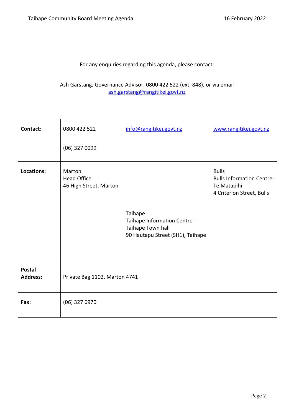For any enquiries regarding this agenda, please contact:

Ash Garstang, Governance Advisor, 0800 422 522 (ext. 848), or via email [ash.garstang@rangitikei.govt.nz](mailto:ash.garstang@rangitikei.govt.nz)

| Contact:                         | 0800 422 522                                                  | info@rangitikei.govt.nz                                                                          | www.rangitikei.govt.nz                                                                       |
|----------------------------------|---------------------------------------------------------------|--------------------------------------------------------------------------------------------------|----------------------------------------------------------------------------------------------|
|                                  | (06) 327 0099                                                 |                                                                                                  |                                                                                              |
| Locations:                       | <b>Marton</b><br><b>Head Office</b><br>46 High Street, Marton | Taihape<br>Taihape Information Centre -<br>Taihape Town hall<br>90 Hautapu Street (SH1), Taihape | <b>Bulls</b><br><b>Bulls Information Centre-</b><br>Te Matapihi<br>4 Criterion Street, Bulls |
| <b>Postal</b><br><b>Address:</b> | Private Bag 1102, Marton 4741                                 |                                                                                                  |                                                                                              |
| Fax:                             | $(06)$ 327 6970                                               |                                                                                                  |                                                                                              |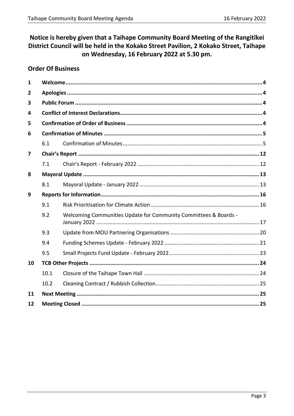# Notice is hereby given that a Taihape Community Board Meeting of the Rangitikei District Council will be held in the Kokako Street Pavilion, 2 Kokako Street, Taihape on Wednesday, 16 February 2022 at 5.30 pm.

# **Order Of Business**

| 1            |      |                                                                  |  |
|--------------|------|------------------------------------------------------------------|--|
| $\mathbf{2}$ |      |                                                                  |  |
| 3            |      |                                                                  |  |
| 4            |      |                                                                  |  |
| 5            |      |                                                                  |  |
| 6            |      |                                                                  |  |
|              | 6.1  |                                                                  |  |
| 7            |      |                                                                  |  |
|              | 7.1  |                                                                  |  |
| 8            |      |                                                                  |  |
|              | 8.1  |                                                                  |  |
| 9            |      |                                                                  |  |
|              | 9.1  |                                                                  |  |
|              | 9.2  | Welcoming Communities Update for Community Committees & Boards - |  |
|              | 9.3  |                                                                  |  |
|              | 9.4  |                                                                  |  |
|              | 9.5  |                                                                  |  |
| 10           |      |                                                                  |  |
|              | 10.1 |                                                                  |  |
|              | 10.2 |                                                                  |  |
| 11           |      |                                                                  |  |
| 12           |      |                                                                  |  |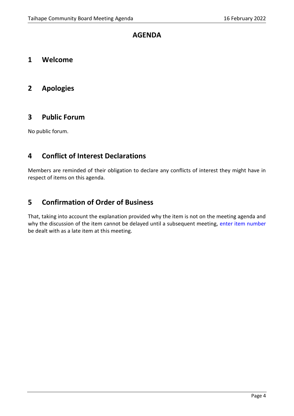# **AGENDA**

<span id="page-3-0"></span>**1 Welcome** 

# <span id="page-3-1"></span>**2 Apologies**

# <span id="page-3-2"></span>**3 Public Forum**

No public forum.

# <span id="page-3-3"></span>**4 Conflict of Interest Declarations**

Members are reminded of their obligation to declare any conflicts of interest they might have in respect of items on this agenda.

# <span id="page-3-4"></span>**5 Confirmation of Order of Business**

That, taking into account the explanation provided why the item is not on the meeting agenda and why the discussion of the item cannot be delayed until a subsequent meeting, enter item number be dealt with as a late item at this meeting.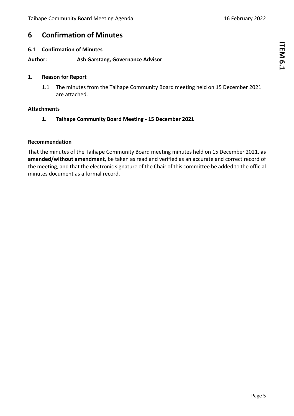# <span id="page-4-0"></span>**6 Confirmation of Minutes**

# <span id="page-4-1"></span>**6.1 Confirmation of Minutes**

# **Author: Ash Garstang, Governance Advisor**

# **1. Reason for Report**

1.1 The minutes from the Taihape Community Board meeting held on 15 December 2021 are attached.

# **Attachments**

**1. Taihape Community Board Meeting - 15 December 2021**

#### **Recommendation**

That the minutes of the Taihape Community Board meeting minutes held on 15 December 2021, **as amended/without amendment**, be taken as read and verified as an accurate and correct record of the meeting, and that the electronic signature of the Chair of this committee be added to the official minutes document as a formal record.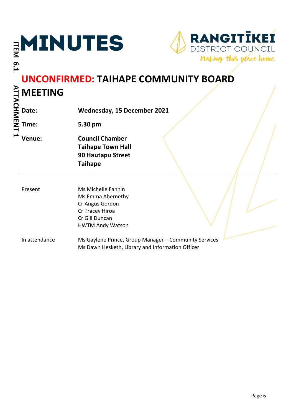| 6.1               | MINUTES        | <b>RANGITIKEI</b><br>DISTRICT COUNCIL<br>Making this place home.                                                           |
|-------------------|----------------|----------------------------------------------------------------------------------------------------------------------------|
| <b>ATTACHMENT</b> | <b>MEETING</b> | <b>UNCONFIRMED: TAIHAPE COMMUNITY BOARD</b>                                                                                |
|                   | Date:          | <b>Wednesday, 15 December 2021</b>                                                                                         |
|                   | Time:          | 5.30 pm                                                                                                                    |
|                   | Venue:         | <b>Council Chamber</b><br><b>Taihape Town Hall</b><br>90 Hautapu Street<br><b>Taihape</b>                                  |
|                   | Present        | Ms Michelle Fannin<br>Ms Emma Abernethy<br>Cr Angus Gordon<br>Cr Tracey Hiroa<br>Cr Gill Duncan<br><b>HWTM Andy Watson</b> |
|                   | In attendance  | Ms Gaylene Prince, Group Manager - Community Services<br>Ms Dawn Hesketh, Library and Information Officer                  |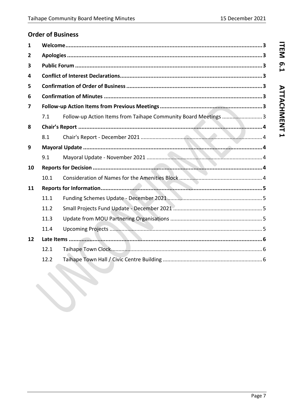# **Order of Business**

H

| 1  |      |                                                                 |
|----|------|-----------------------------------------------------------------|
| 2  |      |                                                                 |
| 3  |      |                                                                 |
| 4  |      |                                                                 |
| 5  |      |                                                                 |
| 6  |      |                                                                 |
| 7  |      |                                                                 |
|    | 7.1  | Follow-up Action Items from Taihape Community Board Meetings  3 |
| 8  |      |                                                                 |
|    | 8.1  |                                                                 |
| 9  |      |                                                                 |
|    | 9.1  |                                                                 |
| 10 |      |                                                                 |
|    | 10.1 |                                                                 |
| 11 |      |                                                                 |
|    | 11.1 |                                                                 |
|    | 11.2 |                                                                 |
|    | 11.3 |                                                                 |
|    | 11.4 |                                                                 |
| 12 |      |                                                                 |
|    | 12.1 |                                                                 |
|    | 12.2 |                                                                 |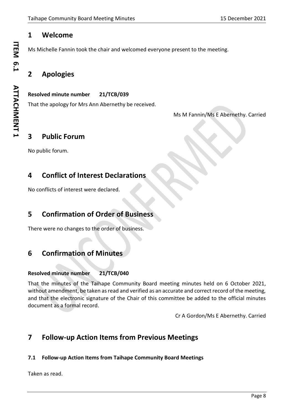# **1 Welcome**

Ms Michelle Fannin took the chair and welcomed everyone present to the meeting.

# **2 Apologies**

# **Resolved minute number 21/TCB/039**

That the apology for Mrs Ann Abernethy be received.

Ms M Fannin/Ms E Abernethy. Carried

# **3 Public Forum**

No public forum.

# **4 Conflict of Interest Declarations**

No conflicts of interest were declared.

# **5 Confirmation of Order of Business**

There were no changes to the order of business.

# **6 Confirmation of Minutes**

# **Resolved minute number 21/TCB/040**

That the minutes of the Taihape Community Board meeting minutes held on 6 October 2021, without amendment, be taken as read and verified as an accurate and correct record of the meeting, and that the electronic signature of the Chair of this committee be added to the official minutes document as a formal record.

Cr A Gordon/Ms E Abernethy. Carried

# **7 Follow-up Action Items from Previous Meetings**

# **7.1 Follow-up Action Items from Taihape Community Board Meetings**

Taken as read.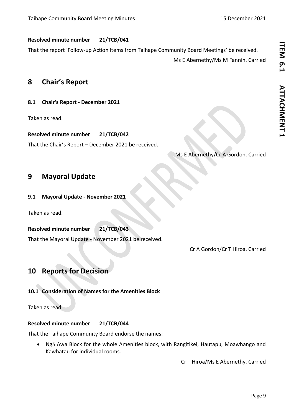# **Resolved minute number 21/TCB/041**

That the report 'Follow-up Action Items from Taihape Community Board Meetings' be received.

Ms E Abernethy/Ms M Fannin. Carried

# **8 Chair's Report**

# **8.1 Chair's Report - December 2021**

Taken as read.

**Resolved minute number 21/TCB/042**

That the Chair's Report – December 2021 be received.

# Ms E Abernethy/Cr A Gordon. Carried

# **9 Mayoral Update**

# **9.1 Mayoral Update - November 2021**

Taken as read.

# **Resolved minute number 21/TCB/043**

That the Mayoral Update - November 2021 be received.

Cr A Gordon/Cr T Hiroa. Carried

# **10 Reports for Decision**

# **10.1 Consideration of Names for the Amenities Block**

Taken as read.

# **Resolved minute number 21/TCB/044**

That the Taihape Community Board endorse the names:

• Ngā Awa Block for the whole Amenities block, with Rangitikei, Hautapu, Moawhango and Kawhatau for individual rooms.

Cr T Hiroa/Ms E Abernethy. Carried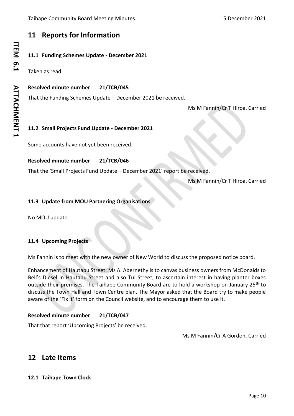# **11 Reports for Information**

# **11.1 Funding Schemes Update - December 2021**

Taken as read.

# **Resolved minute number 21/TCB/045**

That the Funding Schemes Update – December 2021 be received.

Ms M Fannin/Cr T Hiroa. Carried

# **11.2 Small Projects Fund Update - December 2021**

Some accounts have not yet been received.

# **Resolved minute number 21/TCB/046**

That the 'Small Projects Fund Update – December 2021' report be received.

Ms M Fannin/Cr T Hiroa. Carried

# **11.3 Update from MOU Partnering Organisations**

No MOU update.

# **11.4 Upcoming Projects**

Ms Fannin is to meet with the new owner of New World to discuss the proposed notice board.

Enhancement of Hautapu Street: Ms A. Abernethy is to canvas business owners from McDonalds to Bell's Diesel in Hautapu Street and also Tui Street, to ascertain interest in having planter boxes outside their premises. The Taihape Community Board are to hold a workshop on January 25<sup>th</sup> to discuss the Town Hall and Town Centre plan. The Mayor asked that the Board try to make people aware of the 'Fix it' form on the Council website, and to encourage them to use it.

# **Resolved minute number 21/TCB/047**

That that report 'Upcoming Projects' be received.

Ms M Fannin/Cr A Gordon. Carried

# **12 Late Items**

# **12.1 Taihape Town Clock**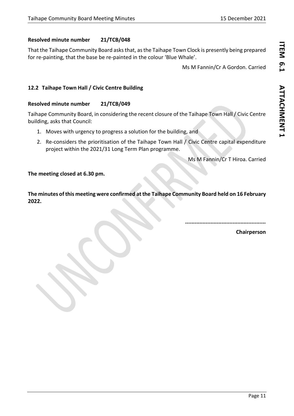# **Resolved minute number 21/TCB/048**

That the Taihape Community Board asks that, as the Taihape Town Clock is presently being prepared for re-painting, that the base be re-painted in the colour 'Blue Whale'.

Ms M Fannin/Cr A Gordon. Carried

# **12.2 Taihape Town Hall / Civic Centre Building**

#### **Resolved minute number 21/TCB/049**

Taihape Community Board, in considering the recent closure of the Taihape Town Hall / Civic Centre building, asks that Council:

- 1. Moves with urgency to progress a solution for the building, and
- 2. Re-considers the prioritisation of the Taihape Town Hall / Civic Centre capital expenditure project within the 2021/31 Long Term Plan programme.

Ms M Fannin/Cr T Hiroa. Carried

#### **The meeting closed at 6.30 pm.**

**The minutes of this meeting were confirmed at the Taihape Community Board held on 16 February 2022.**

**...................................................**

**Chairperson**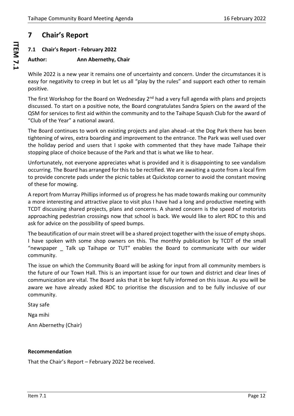# <span id="page-11-0"></span>**7 Chair's Report**

# <span id="page-11-1"></span>**7.1 Chair's Report - February 2022**

# **Author: Ann Abernethy, Chair**

While 2022 is a new year it remains one of uncertainty and concern. Under the circumstances it is easy for negativity to creep in but let us all "play by the rules" and support each other to remain positive.

The first Workshop for the Board on Wednesday 2<sup>nd</sup> had a very full agenda with plans and projects discussed. To start on a positive note, the Board congratulates Sandra Spiers on the award of the QSM for services to first aid within the community and to the Taihape Squash Club for the award of "Club of the Year" a national award.

The Board continues to work on existing projects and plan ahead--at the Dog Park there has been tightening of wires, extra boarding and improvement to the entrance. The Park was well used over the holiday period and users that I spoke with commented that they have made Taihape their stopping place of choice because of the Park and that is what we like to hear.

Unfortunately, not everyone appreciates what is provided and it is disappointing to see vandalism occurring. The Board has arranged for this to be rectified. We are awaiting a quote from a local firm to provide concrete pads under the picnic tables at Quickstop corner to avoid the constant moving of these for mowing.

A report from Murray Phillips informed us of progress he has made towards making our community a more interesting and attractive place to visit plus I have had a long and productive meeting with TCDT discussing shared projects, plans and concerns. A shared concern is the speed of motorists approaching pedestrian crossings now that school is back. We would like to alert RDC to this and ask for advice on the possibility of speed bumps.

The beautification of our main street will be a shared project together with the issue of empty shops. I have spoken with some shop owners on this. The monthly publication by TCDT of the small "newspaper \_ Talk up Taihape or TUT" enables the Board to communicate with our wider community.

The issue on which the Community Board will be asking for input from all community members is the future of our Town Hall. This is an important issue for our town and district and clear lines of communication are vital. The Board asks that it be kept fully informed on this issue. As you will be aware we have already asked RDC to prioritise the discussion and to be fully inclusive of our community.

Stay safe

Nga mihi

Ann Abernethy (Chair)

# **Recommendation**

That the Chair's Report – February 2022 be received.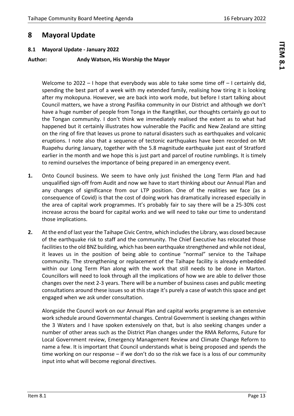# ITEM 8.1 **ITEM 8.1**

# <span id="page-12-0"></span>**8 Mayoral Update**

# <span id="page-12-1"></span>**8.1 Mayoral Update - January 2022**

# **Author: Andy Watson, His Worship the Mayor**

Welcome to 2022 - I hope that everybody was able to take some time off - I certainly did, spending the best part of a week with my extended family, realising how tiring it is looking after my mokopuna. However, we are back into work mode, but before I start talking about Council matters, we have a strong Pasifika community in our District and although we don't have a huge number of people from Tonga in the Rangitīkei, our thoughts certainly go out to the Tongan community. I don't think we immediately realised the extent as to what had happened but it certainly illustrates how vulnerable the Pacific and New Zealand are sitting on the ring of fire that leaves us prone to natural disasters such as earthquakes and volcanic eruptions. I note also that a sequence of tectonic earthquakes have been recorded on Mt Ruapehu during January, together with the 5.8 magnitude earthquake just east of Stratford earlier in the month and we hope this is just part and parcel of routine rumblings. It is timely to remind ourselves the importance of being prepared in an emergency event.

- **1.** Onto Council business. We seem to have only just finished the Long Term Plan and had unqualified sign-off from Audit and now we have to start thinking about our Annual Plan and any changes of significance from our LTP position. One of the realities we face (as a consequence of Covid) is that the cost of doing work has dramatically increased especially in the area of capital work programmes. It's probably fair to say there will be a 25-30% cost increase across the board for capital works and we will need to take our time to understand those implications.
- **2.** At the end of last year the Taihape Civic Centre, which includes the Library, was closed because of the earthquake risk to staff and the community. The Chief Executive has relocated those facilities to the old BNZ building, which has been earthquake strengthened and while not ideal, it leaves us in the position of being able to continue "normal" service to the Taihape community. The strengthening or replacement of the Taihape facility is already embedded within our Long Term Plan along with the work that still needs to be done in Marton. Councillors will need to look through all the implications of how we are able to deliver those changes over the next 2-3 years. There will be a number of business cases and public meeting consultations around these issues so at this stage it's purely a case of watch this space and get engaged when we ask under consultation.

Alongside the Council work on our Annual Plan and capital works programme is an extensive work schedule around Governmental changes. Central Government is seeking changes within the 3 Waters and I have spoken extensively on that, but is also seeking changes under a number of other areas such as the District Plan changes under the RMA Reforms, Future for Local Government review, Emergency Management Review and Climate Change Reform to name a few. It is important that Council understands what is being proposed and spends the time working on our response – if we don't do so the risk we face is a loss of our community input into what will become regional directives.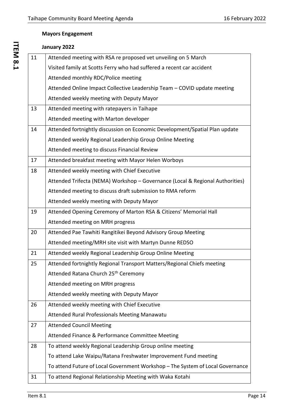# **Mayors Engagement**

|    | January 2022                                                                   |
|----|--------------------------------------------------------------------------------|
| 11 | Attended meeting with RSA re proposed vet unveiling on 5 March                 |
|    | Visited family at Scotts Ferry who had suffered a recent car accident          |
|    | Attended monthly RDC/Police meeting                                            |
|    | Attended Online Impact Collective Leadership Team - COVID update meeting       |
|    | Attended weekly meeting with Deputy Mayor                                      |
| 13 | Attended meeting with ratepayers in Taihape                                    |
|    | Attended meeting with Marton developer                                         |
| 14 | Attended fortnightly discussion on Economic Development/Spatial Plan update    |
|    | Attended weekly Regional Leadership Group Online Meeting                       |
|    | Attended meeting to discuss Financial Review                                   |
| 17 | Attended breakfast meeting with Mayor Helen Worboys                            |
| 18 | Attended weekly meeting with Chief Executive                                   |
|    | Attended Trifecta (NEMA) Workshop - Governance (Local & Regional Authorities)  |
|    | Attended meeting to discuss draft submission to RMA reform                     |
|    | Attended weekly meeting with Deputy Mayor                                      |
| 19 | Attended Opening Ceremony of Marton RSA & Citizens' Memorial Hall              |
|    | Attended meeting on MRH progress                                               |
| 20 | Attended Pae Tawhiti Rangitikei Beyond Advisory Group Meeting                  |
|    | Attended meeting/MRH site visit with Martyn Dunne REDSO                        |
| 21 | Attended weekly Regional Leadership Group Online Meeting                       |
| 25 | Attended fortnightly Regional Transport Matters/Regional Chiefs meeting        |
|    | Attended Ratana Church 25th Ceremony                                           |
|    | Attended meeting on MRH progress                                               |
|    | Attended weekly meeting with Deputy Mayor                                      |
| 26 | Attended weekly meeting with Chief Executive                                   |
|    | Attended Rural Professionals Meeting Manawatu                                  |
| 27 | <b>Attended Council Meeting</b>                                                |
|    | Attended Finance & Performance Committee Meeting                               |
| 28 | To attend weekly Regional Leadership Group online meeting                      |
|    | To attend Lake Waipu/Ratana Freshwater Improvement Fund meeting                |
|    | To attend Future of Local Government Workshop - The System of Local Governance |
| 31 | To attend Regional Relationship Meeting with Waka Kotahi                       |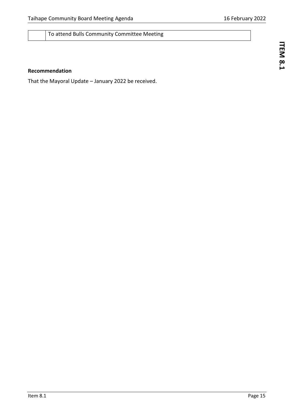To attend Bulls Community Committee Meeting

# **Recommendation**

That the Mayoral Update – January 2022 be received.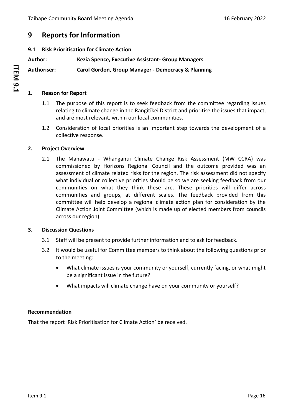# <span id="page-15-0"></span>**9 Reports for Information**

# <span id="page-15-1"></span>**9.1 Risk Prioritisation for Climate Action**

**Author: Kezia Spence, Executive Assistant- Group Managers**

**Authoriser: Carol Gordon, Group Manager - Democracy & Planning**

#### **1. Reason for Report**

- 1.1 The purpose of this report is to seek feedback from the committee regarding issues relating to climate change in the Rangitīkei District and prioritise the issues that impact, and are most relevant, within our local communities.
- 1.2 Consideration of local priorities is an important step towards the development of a collective response.

# **2. Project Overview**

2.1 The Manawatū - Whanganui Climate Change Risk Assessment (MW CCRA) was commissioned by Horizons Regional Council and the outcome provided was an assessment of climate related risks for the region. The risk assessment did not specify what individual or collective priorities should be so we are seeking feedback from our communities on what they think these are. These priorities will differ across communities and groups, at different scales. The feedback provided from this committee will help develop a regional climate action plan for consideration by the Climate Action Joint Committee (which is made up of elected members from councils across our region).

#### **3. Discussion Questions**

- 3.1 Staff will be present to provide further information and to ask for feedback.
- 3.2 It would be useful for Committee members to think about the following questions prior to the meeting:
	- What climate issues is your community or yourself, currently facing, or what might be a significant issue in the future?
	- What impacts will climate change have on your community or yourself?

#### **Recommendation**

That the report 'Risk Prioritisation for Climate Action' be received.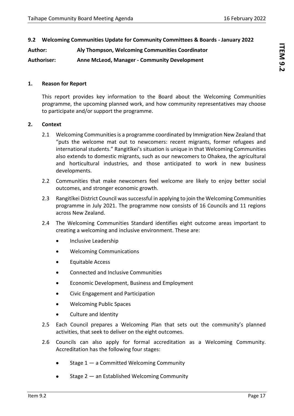<span id="page-16-0"></span>**Author: Aly Thompson, Welcoming Communities Coordinator**

**Authoriser: Anne McLeod, Manager - Community Development**

#### **1. Reason for Report**

This report provides key information to the Board about the Welcoming Communities programme, the upcoming planned work, and how community representatives may choose to participate and/or support the programme.

# **2. Context**

- 2.1 Welcoming Communities is a programme coordinated by Immigration New Zealand that "puts the welcome mat out to newcomers: recent migrants, former refugees and international students." Rangitīkei's situation is unique in that Welcoming Communities also extends to domestic migrants, such as our newcomers to Ohakea, the agricultural and horticultural industries, and those anticipated to work in new business developments.
- 2.2 Communities that make newcomers feel welcome are likely to enjoy better social outcomes, and stronger economic growth.
- 2.3 Rangitīkei District Council was successful in applying to join the Welcoming Communities programme in July 2021. The programme now consists of 16 Councils and 11 regions across New Zealand.
- 2.4 The Welcoming Communities Standard identifies eight outcome areas important to creating a welcoming and inclusive environment. These are:
	- Inclusive Leadership
	- Welcoming Communications
	- Equitable Access
	- Connected and Inclusive Communities
	- Economic Development, Business and Employment
	- Civic Engagement and Participation
	- Welcoming Public Spaces
	- Culture and Identity
- 2.5 Each Council prepares a Welcoming Plan that sets out the community's planned activities, that seek to deliver on the eight outcomes.
- 2.6 Councils can also apply for formal accreditation as a Welcoming Community. Accreditation has the following four stages:
	- Stage  $1 a$  Committed Welcoming Community
	- Stage  $2 -$  an Established Welcoming Community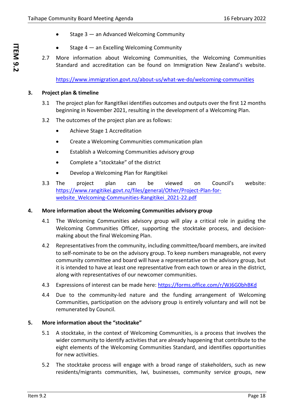- Stage  $3 -$  an Advanced Welcoming Community
- Stage  $4 -$  an Excelling Welcoming Community
- 2.7 More information about Welcoming Communities, the Welcoming Communities Standard and accreditation can be found on Immigration New Zealand's website.

<https://www.immigration.govt.nz/about-us/what-we-do/welcoming-communities>

#### **3. Project plan & timeline**

- 3.1 The project plan for Rangitīkei identifies outcomes and outputs over the first 12 months beginning in November 2021, resulting in the development of a Welcoming Plan.
- 3.2 The outcomes of the project plan are as follows:
	- Achieve Stage 1 Accreditation
	- Create a Welcoming Communities communication plan
	- Establish a Welcoming Communities advisory group
	- Complete a "stocktake" of the district
	- Develop a Welcoming Plan for Rangitikei
- 3.3 The project plan can be viewed on Council's website: [https://www.rangitikei.govt.nz/files/general/Other/Project-Plan-for](https://www.rangitikei.govt.nz/files/general/Other/Project-Plan-for-website_Welcoming-Communities-Rangitikei_2021-22.pdf)website Welcoming-Communities-Rangitikei 2021-22.pdf

#### **4. More information about the Welcoming Communities advisory group**

- 4.1 The Welcoming Communities advisory group will play a critical role in guiding the Welcoming Communities Officer, supporting the stocktake process, and decisionmaking about the final Welcoming Plan.
- 4.2 Representatives from the community, including committee/board members, are invited to self-nominate to be on the advisory group. To keep numbers manageable, not every community committee and board will have a representative on the advisory group, but it is intended to have at least one representative from each town or area in the district, along with representatives of our newcomer communities.
- 4.3 Expressions of interest can be made here:<https://forms.office.com/r/WJ6G0bhBKd>
- 4.4 Due to the community-led nature and the funding arrangement of Welcoming Communities, participation on the advisory group is entirely voluntary and will not be remunerated by Council.

#### **5. More information about the "stocktake"**

- 5.1 A stocktake, in the context of Welcoming Communities, is a process that involves the wider community to identify activities that are already happening that contribute to the eight elements of the Welcoming Communities Standard, and identifies opportunities for new activities.
- 5.2 The stocktake process will engage with a broad range of stakeholders, such as new residents/migrants communities, Iwi, businesses, community service groups, new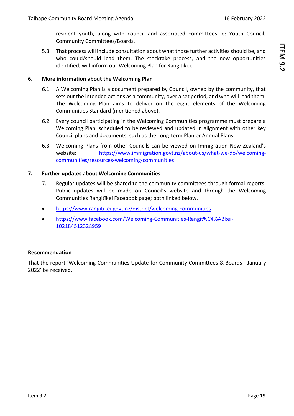resident youth, along with council and associated committees ie: Youth Council, Community Committees/Boards.

5.3 That process will include consultation about what those further activities should be, and who could/should lead them. The stocktake process, and the new opportunities identified, will inform our Welcoming Plan for Rangitikei.

# **6. More information about the Welcoming Plan**

- 6.1 A Welcoming Plan is a document prepared by Council, owned by the community, that sets out the intended actions as a community, over a set period, and who will lead them. The Welcoming Plan aims to deliver on the eight elements of the Welcoming Communities Standard (mentioned above).
- 6.2 Every council participating in the Welcoming Communities programme must prepare a Welcoming Plan, scheduled to be reviewed and updated in alignment with other key Council plans and documents, such as the Long-term Plan or Annual Plans.
- 6.3 Welcoming Plans from other Councils can be viewed on Immigration New Zealand's website: [https://www.immigration.govt.nz/about-us/what-we-do/welcoming](https://www.immigration.govt.nz/about-us/what-we-do/welcoming-communities/resources-welcoming-communities)[communities/resources-welcoming-communities](https://www.immigration.govt.nz/about-us/what-we-do/welcoming-communities/resources-welcoming-communities)

# **7. Further updates about Welcoming Communities**

- 7.1 Regular updates will be shared to the community committees through formal reports. Public updates will be made on Council's website and through the Welcoming Communities Rangitīkei Facebook page; both linked below.
- <https://www.rangitikei.govt.nz/district/welcoming-communities>
- [https://www.facebook.com/Welcoming-Communities-Rangit%C4%ABkei-](https://www.facebook.com/Welcoming-Communities-Rangit%C4%ABkei-102184512328959)[102184512328959](https://www.facebook.com/Welcoming-Communities-Rangit%C4%ABkei-102184512328959)

# **Recommendation**

That the report 'Welcoming Communities Update for Community Committees & Boards - January 2022' be received.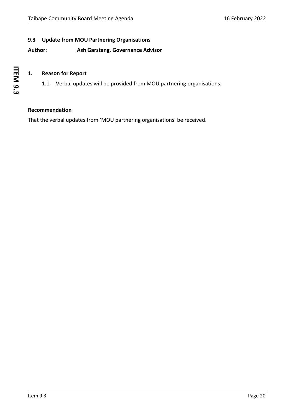# <span id="page-19-0"></span>**9.3 Update from MOU Partnering Organisations**

# **Author: Ash Garstang, Governance Advisor**

# **1. Reason for Report**

1.1 Verbal updates will be provided from MOU partnering organisations.

#### **Recommendation**

That the verbal updates from 'MOU partnering organisations' be received.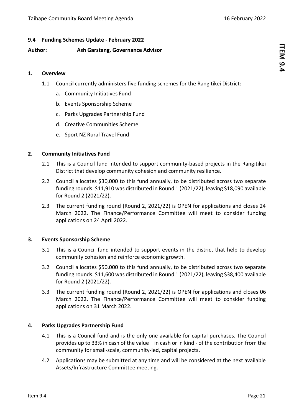# <span id="page-20-0"></span>**9.4 Funding Schemes Update - February 2022**

# **Author: Ash Garstang, Governance Advisor**

#### **1. Overview**

- 1.1 Council currently administers five funding schemes for the Rangitikei District:
	- a. Community Initiatives Fund
	- b. Events Sponsorship Scheme
	- c. Parks Upgrades Partnership Fund
	- d. Creative Communities Scheme
	- e. Sport NZ Rural Travel Fund

#### **2. Community Initiatives Fund**

- 2.1 This is a Council fund intended to support community-based projects in the Rangitīkei District that develop community cohesion and community resilience.
- 2.2 Council allocates \$30,000 to this fund annually, to be distributed across two separate funding rounds. \$11,910 was distributed in Round 1 (2021/22), leaving \$18,090 available for Round 2 (2021/22).
- 2.3 The current funding round (Round 2, 2021/22) is OPEN for applications and closes 24 March 2022. The Finance/Performance Committee will meet to consider funding applications on 24 April 2022.

#### **3. Events Sponsorship Scheme**

- 3.1 This is a Council fund intended to support events in the district that help to develop community cohesion and reinforce economic growth.
- 3.2 Council allocates \$50,000 to this fund annually, to be distributed across two separate funding rounds. \$11,600 was distributed in Round 1 (2021/22), leaving \$38,400 available for Round 2 (2021/22).
- 3.3 The current funding round (Round 2, 2021/22) is OPEN for applications and closes 06 March 2022. The Finance/Performance Committee will meet to consider funding applications on 31 March 2022.

#### **4. Parks Upgrades Partnership Fund**

- 4.1 This is a Council fund and is the only one available for capital purchases. The Council provides up to 33% in cash of the value – in cash or in kind - of the contribution from the community for small-scale, community-led, capital projects**.**
- 4.2 Applications may be submitted at any time and will be considered at the next available Assets/Infrastructure Committee meeting.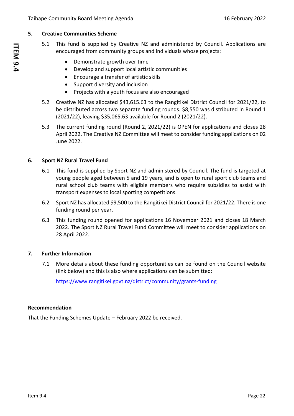# **5. Creative Communities Scheme**

- 5.1 This fund is supplied by Creative NZ and administered by Council. Applications are encouraged from community groups and individuals whose projects:
	- Demonstrate growth over time
	- Develop and support local artistic communities
	- Encourage a transfer of artistic skills
	- Support diversity and inclusion
	- Projects with a youth focus are also encouraged
- 5.2 Creative NZ has allocated \$43,615.63 to the Rangitikei District Council for 2021/22, to be distributed across two separate funding rounds. \$8,550 was distributed in Round 1 (2021/22), leaving \$35,065.63 available for Round 2 (2021/22).
- 5.3 The current funding round (Round 2, 2021/22) is OPEN for applications and closes 28 April 2022. The Creative NZ Committee will meet to consider funding applications on 02 June 2022.

# **6. Sport NZ Rural Travel Fund**

- 6.1 This fund is supplied by Sport NZ and administered by Council. The fund is targeted at young people aged between 5 and 19 years, and is open to rural sport club teams and rural school club teams with eligible members who require subsidies to assist with transport expenses to local sporting competitions.
- 6.2 Sport NZ has allocated \$9,500 to the Rangitikei District Council for 2021/22. There is one funding round per year.
- 6.3 This funding round opened for applications 16 November 2021 and closes 18 March 2022. The Sport NZ Rural Travel Fund Committee will meet to consider applications on 28 April 2022.

# **7. Further Information**

7.1 More details about these funding opportunities can be found on the Council website (link below) and this is also where applications can be submitted:

<https://www.rangitikei.govt.nz/district/community/grants-funding>

# **Recommendation**

That the Funding Schemes Update – February 2022 be received.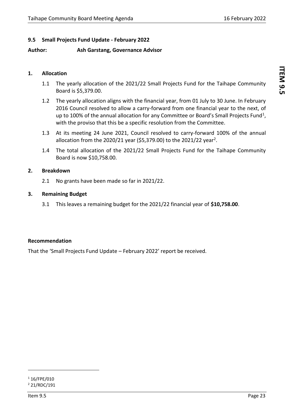# <span id="page-22-0"></span>**9.5 Small Projects Fund Update - February 2022**

# **Author: Ash Garstang, Governance Advisor**

#### **1. Allocation**

- 1.1 The yearly allocation of the 2021/22 Small Projects Fund for the Taihape Community Board is \$5,379.00.
- 1.2 The yearly allocation aligns with the financial year, from 01 July to 30 June. In February 2016 Council resolved to allow a carry-forward from one financial year to the next, of up to 100% of the annual allocation for any Committee or Board's Small Projects Fund<sup>1</sup>, with the proviso that this be a specific resolution from the Committee.
- 1.3 At its meeting 24 June 2021, Council resolved to carry-forward 100% of the annual allocation from the 2020/21 year (\$5,379.00) to the 2021/22 year<sup>2</sup>.
- 1.4 The total allocation of the 2021/22 Small Projects Fund for the Taihape Community Board is now \$10,758.00.

#### **2. Breakdown**

2.1 No grants have been made so far in 2021/22.

# **3. Remaining Budget**

3.1 This leaves a remaining budget for the 2021/22 financial year of **\$10,758.00**.

#### **Recommendation**

That the 'Small Projects Fund Update – February 2022' report be received.

 $116$ /FPE/010 <sup>2</sup> 21/RDC/191

ITEM 9.5 **ITEM 9.5**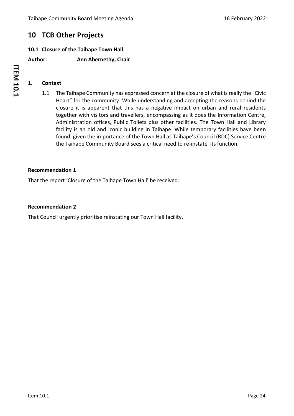# <span id="page-23-0"></span>**10 TCB Other Projects**

# <span id="page-23-1"></span>**10.1 Closure of the Taihape Town Hall**

**Author: Ann Abernethy, Chair**

# **1. Context**

1.1 The Taihape Community has expressed concern at the closure of what is really the "Civic Heart" for the community. While understanding and accepting the reasons behind the closure it is apparent that this has a negative impact on urban and rural residents together with visitors and travellers, encompassing as it does the Information Centre, Administration offices, Public Toilets plus other facilities. The Town Hall and Library facility is an old and iconic building in Taihape. While temporary facilities have been found, given the importance of the Town Hall as Taihape's Council (RDC) Service Centre the Taihape Community Board sees a critical need to re-instate its function.

#### **Recommendation 1**

That the report 'Closure of the Taihape Town Hall' be received.

#### **Recommendation 2**

That Council urgently prioritise reinstating our Town Hall facility.